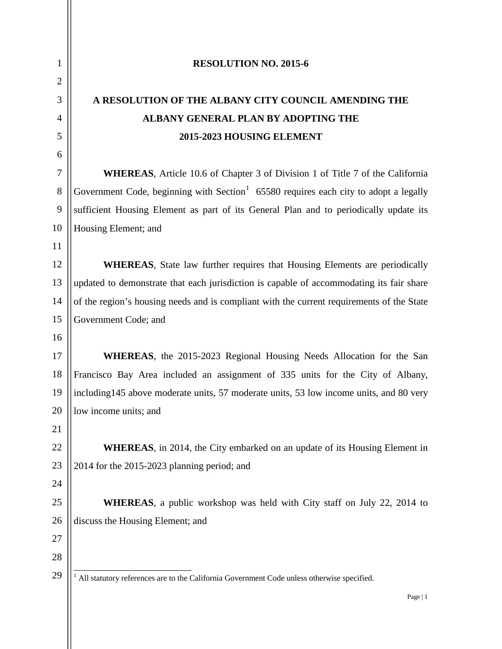## **RESOLUTION NO. 2015-6**

## **A RESOLUTION OF THE ALBANY CITY COUNCIL AMENDING THE ALBANY GENERAL PLAN BY ADOPTING THE 2015-2023 HOUSING ELEMENT**

**WHEREAS**, Article 10.6 of Chapter 3 of Division 1 of Title 7 of the California Government Code, beginning with Section<sup>[1](#page-0-0)</sup>  $65580$  requires each city to adopt a legally sufficient Housing Element as part of its General Plan and to periodically update its Housing Element; and

**WHEREAS**, State law further requires that Housing Elements are periodically updated to demonstrate that each jurisdiction is capable of accommodating its fair share of the region's housing needs and is compliant with the current requirements of the State Government Code; and

**WHEREAS**, the 2015-2023 Regional Housing Needs Allocation for the San Francisco Bay Area included an assignment of 335 units for the City of Albany, including145 above moderate units, 57 moderate units, 53 low income units, and 80 very low income units; and

**WHEREAS**, in 2014, the City embarked on an update of its Housing Element in 2014 for the 2015-2023 planning period; and

**WHEREAS**, a public workshop was held with City staff on July 22, 2014 to discuss the Housing Element; and

<span id="page-0-0"></span><sup>1</sup> All statutory references are to the California Government Code unless otherwise specified.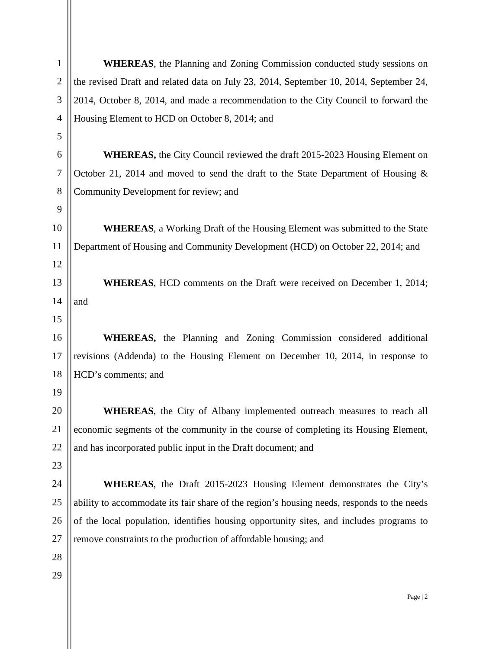**WHEREAS**, the Planning and Zoning Commission conducted study sessions on the revised Draft and related data on July 23, 2014, September 10, 2014, September 24, 2014, October 8, 2014, and made a recommendation to the City Council to forward the Housing Element to HCD on October 8, 2014; and

**WHEREAS,** the City Council reviewed the draft 2015-2023 Housing Element on October 21, 2014 and moved to send the draft to the State Department of Housing & Community Development for review; and

**WHEREAS**, a Working Draft of the Housing Element was submitted to the State Department of Housing and Community Development (HCD) on October 22, 2014; and

**WHEREAS**, HCD comments on the Draft were received on December 1, 2014; and

**WHEREAS,** the Planning and Zoning Commission considered additional revisions (Addenda) to the Housing Element on December 10, 2014, in response to HCD's comments; and

**WHEREAS**, the City of Albany implemented outreach measures to reach all economic segments of the community in the course of completing its Housing Element, and has incorporated public input in the Draft document; and

**WHEREAS**, the Draft 2015-2023 Housing Element demonstrates the City's ability to accommodate its fair share of the region's housing needs, responds to the needs of the local population, identifies housing opportunity sites, and includes programs to remove constraints to the production of affordable housing; and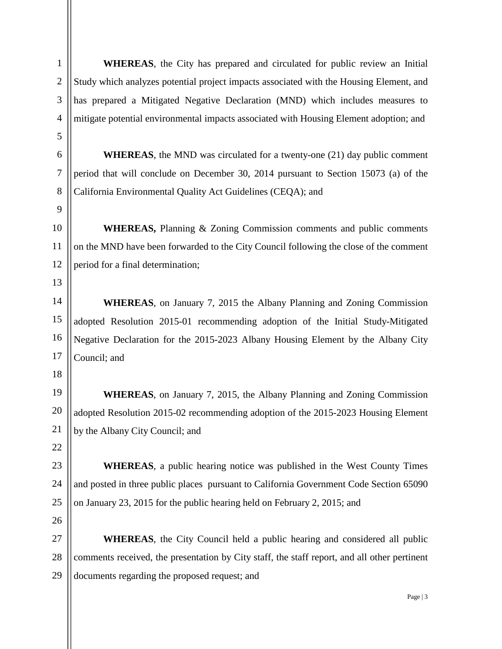**WHEREAS**, the City has prepared and circulated for public review an Initial Study which analyzes potential project impacts associated with the Housing Element, and has prepared a Mitigated Negative Declaration (MND) which includes measures to mitigate potential environmental impacts associated with Housing Element adoption; and

**WHEREAS**, the MND was circulated for a twenty-one (21) day public comment period that will conclude on December 30, 2014 pursuant to Section 15073 (a) of the California Environmental Quality Act Guidelines (CEQA); and

**WHEREAS,** Planning & Zoning Commission comments and public comments on the MND have been forwarded to the City Council following the close of the comment period for a final determination;

**WHEREAS**, on January 7, 2015 the Albany Planning and Zoning Commission adopted Resolution 2015-01 recommending adoption of the Initial Study-Mitigated Negative Declaration for the 2015-2023 Albany Housing Element by the Albany City Council; and

**WHEREAS**, on January 7, 2015, the Albany Planning and Zoning Commission adopted Resolution 2015-02 recommending adoption of the 2015-2023 Housing Element by the Albany City Council; and

**WHEREAS**, a public hearing notice was published in the West County Times and posted in three public places pursuant to California Government Code Section 65090 on January 23, 2015 for the public hearing held on February 2, 2015; and

**WHEREAS**, the City Council held a public hearing and considered all public comments received, the presentation by City staff, the staff report, and all other pertinent documents regarding the proposed request; and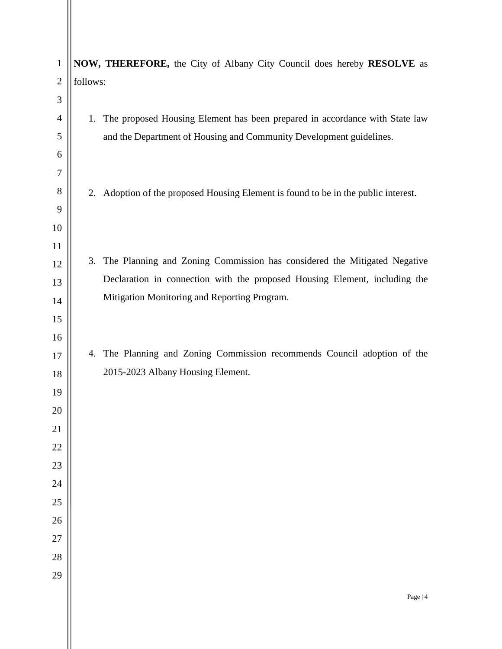| 1              | NOW, THEREFORE, the City of Albany City Council does hereby RESOLVE as |                                                                                 |  |
|----------------|------------------------------------------------------------------------|---------------------------------------------------------------------------------|--|
| $\overline{2}$ | follows:                                                               |                                                                                 |  |
| 3              |                                                                        |                                                                                 |  |
| 4              | 1.                                                                     | The proposed Housing Element has been prepared in accordance with State law     |  |
| 5              |                                                                        | and the Department of Housing and Community Development guidelines.             |  |
| 6              |                                                                        |                                                                                 |  |
| 7              |                                                                        |                                                                                 |  |
| 8              | 2.                                                                     | Adoption of the proposed Housing Element is found to be in the public interest. |  |
| 9              |                                                                        |                                                                                 |  |
| 10             |                                                                        |                                                                                 |  |
| 11             |                                                                        |                                                                                 |  |
| 12             | 3.                                                                     | The Planning and Zoning Commission has considered the Mitigated Negative        |  |
| 13             |                                                                        | Declaration in connection with the proposed Housing Element, including the      |  |
| 14             |                                                                        | Mitigation Monitoring and Reporting Program.                                    |  |
| 15             |                                                                        |                                                                                 |  |
| 16             |                                                                        |                                                                                 |  |
| 17             |                                                                        | 4. The Planning and Zoning Commission recommends Council adoption of the        |  |
| 18             |                                                                        | 2015-2023 Albany Housing Element.                                               |  |
| 19             |                                                                        |                                                                                 |  |
| 20             |                                                                        |                                                                                 |  |
| 21             |                                                                        |                                                                                 |  |
| 22             |                                                                        |                                                                                 |  |
| 23<br>24       |                                                                        |                                                                                 |  |
| 25             |                                                                        |                                                                                 |  |
| 26             |                                                                        |                                                                                 |  |
| 27             |                                                                        |                                                                                 |  |
| 28             |                                                                        |                                                                                 |  |
| 29             |                                                                        |                                                                                 |  |
|                |                                                                        |                                                                                 |  |
|                |                                                                        | Page   4                                                                        |  |